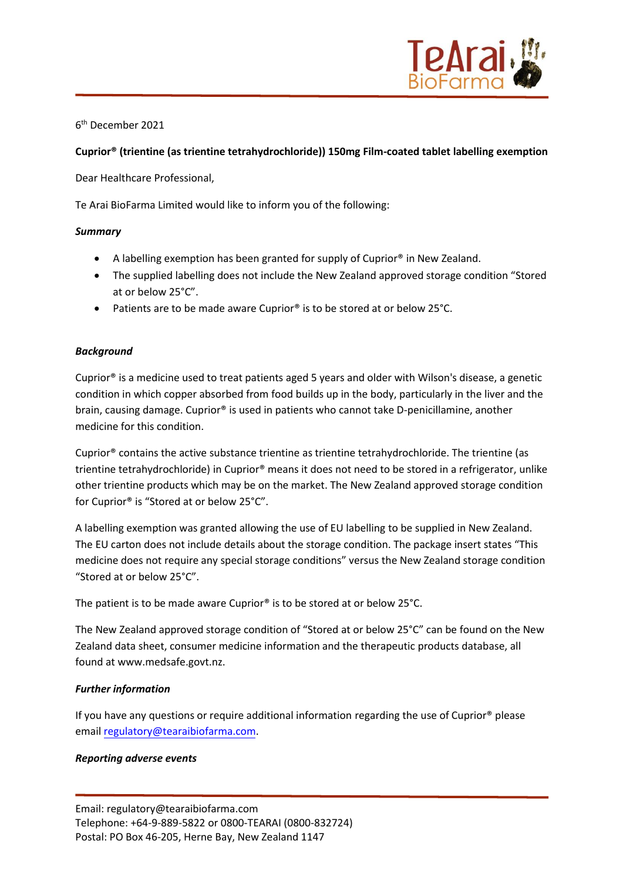

6 th December 2021

# **Cuprior® (trientine (as trientine tetrahydrochloride)) 150mg Film-coated tablet labelling exemption**

Dear Healthcare Professional,

Te Arai BioFarma Limited would like to inform you of the following:

## *Summary*

- A labelling exemption has been granted for supply of Cuprior® in New Zealand.
- The supplied labelling does not include the New Zealand approved storage condition "Stored at or below 25°C".
- Patients are to be made aware Cuprior<sup>®</sup> is to be stored at or below 25°C.

## *Background*

Cuprior® is a medicine used to treat patients aged 5 years and older with Wilson's disease, a genetic condition in which copper absorbed from food builds up in the body, particularly in the liver and the brain, causing damage. Cuprior® is used in patients who cannot take D-penicillamine, another medicine for this condition.

Cuprior® contains the active substance trientine as trientine tetrahydrochloride. The trientine (as trientine tetrahydrochloride) in Cuprior® means it does not need to be stored in a refrigerator, unlike other trientine products which may be on the market. The New Zealand approved storage condition for Cuprior® is "Stored at or below 25°C".

A labelling exemption was granted allowing the use of EU labelling to be supplied in New Zealand. The EU carton does not include details about the storage condition. The package insert states "This medicine does not require any special storage conditions" versus the New Zealand storage condition "Stored at or below 25°C".

The patient is to be made aware Cuprior® is to be stored at or below 25°C.

The New Zealand approved storage condition of "Stored at or below 25°C" can be found on the New Zealand data sheet, consumer medicine information and the therapeutic products database, all found at www.medsafe.govt.nz.

## *Further information*

If you have any questions or require additional information regarding the use of Cuprior<sup>®</sup> please email [regulatory@tearaibiofarma.com.](mailto:regulatory@tearaibiofarma.com)

## *Reporting adverse events*